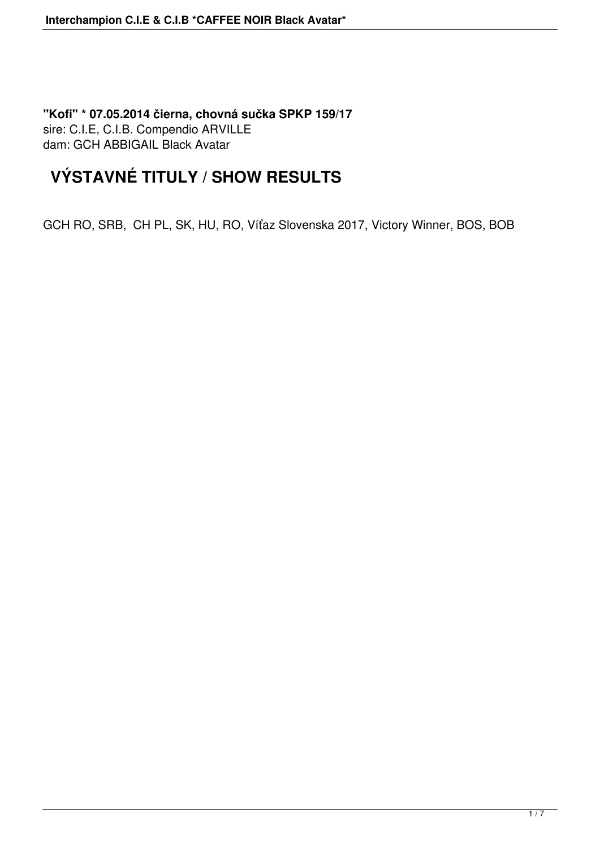**"Kofi" \* 07.05.2014 čierna, chovná sučka SPKP 159/17** sire: C.I.E, C.I.B. Compendio ARVILLE dam: GCH ABBIGAIL Black Avatar

## **VÝSTAVNÉ TITULY / SHOW RESULTS**

GCH RO, SRB, CH PL, SK, HU, RO, Víťaz Slovenska 2017, Victory Winner, BOS, BOB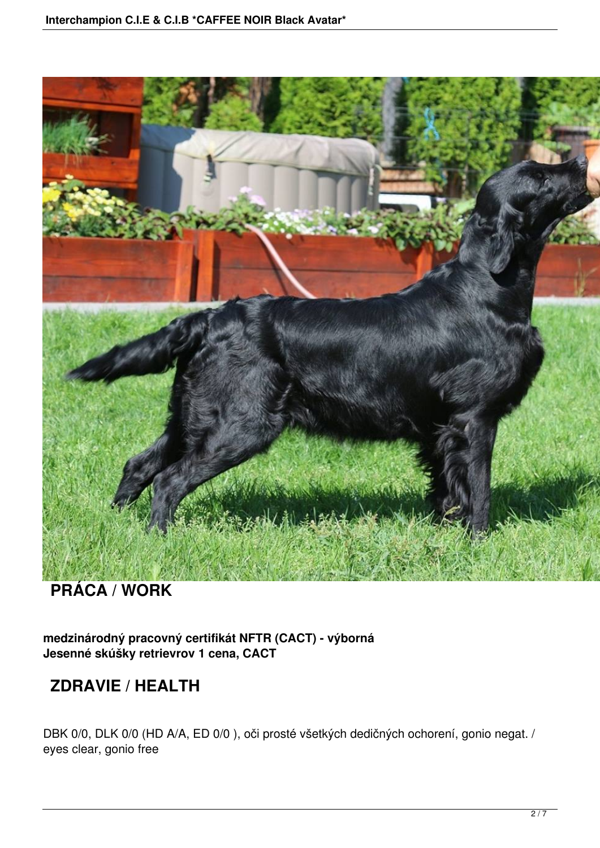

#### **PRÁCA / WORK**

**medzinárodný pracovný certifikát NFTR (CACT) - výborná Jesenné skúšky retrievrov 1 cena, CACT**

### **ZDRAVIE / HEALTH**

DBK 0/0, DLK 0/0 (HD A/A, ED 0/0 ), oči prosté všetkých dedičných ochorení, gonio negat. / eyes clear, gonio free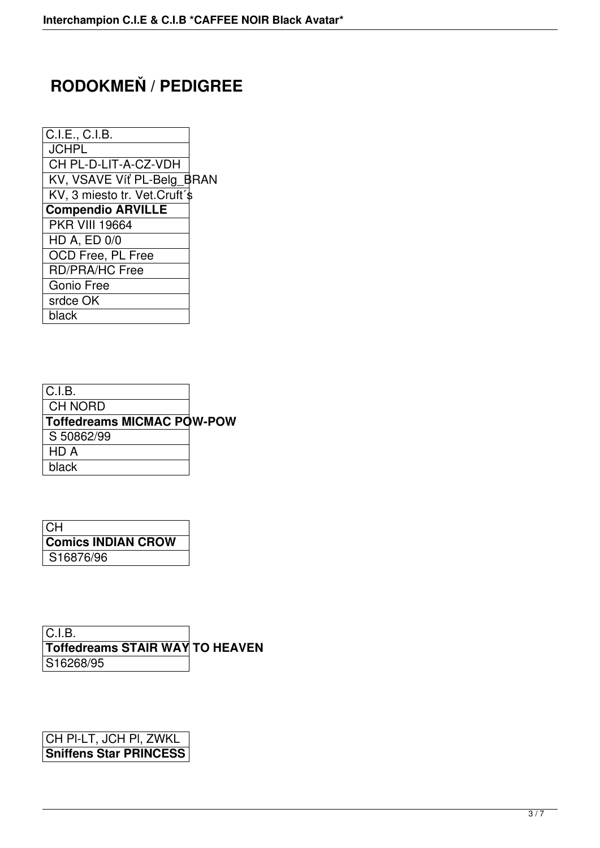# **RODOKMEŇ / PEDIGREE**

| C.I.E., C.I.B.                |  |
|-------------------------------|--|
| <b>JCHPL</b>                  |  |
| CH PL-D-LIT-A-CZ-VDH          |  |
| KV, VSAVE Víť PL-Belg_BRAN    |  |
| KV, 3 miesto tr. Vet.Cruft'\$ |  |
| <b>Compendio ARVILLE</b>      |  |
| <b>PKR VIII 19664</b>         |  |
| <b>HD A, ED 0/0</b>           |  |
| <b>OCD Free, PL Free</b>      |  |
| RD/PRA/HC Free                |  |
| Gonio Free                    |  |
| srdce OK                      |  |
| black                         |  |
|                               |  |

| IC.I.B.                           |  |
|-----------------------------------|--|
| CH NORD                           |  |
| <b>Toffedreams MICMAC POW-POW</b> |  |
| S 50862/99                        |  |
| HD A                              |  |
| black                             |  |

| <b>CH</b>                 |  |
|---------------------------|--|
| <b>Comics INDIAN CROW</b> |  |
| S16876/96                 |  |

C.I.B. **Toffedreams STAIR WAY TO HEAVEN** S16268/95

CH Pl-LT, JCH Pl, ZWKL **Sniffens Star PRINCESS**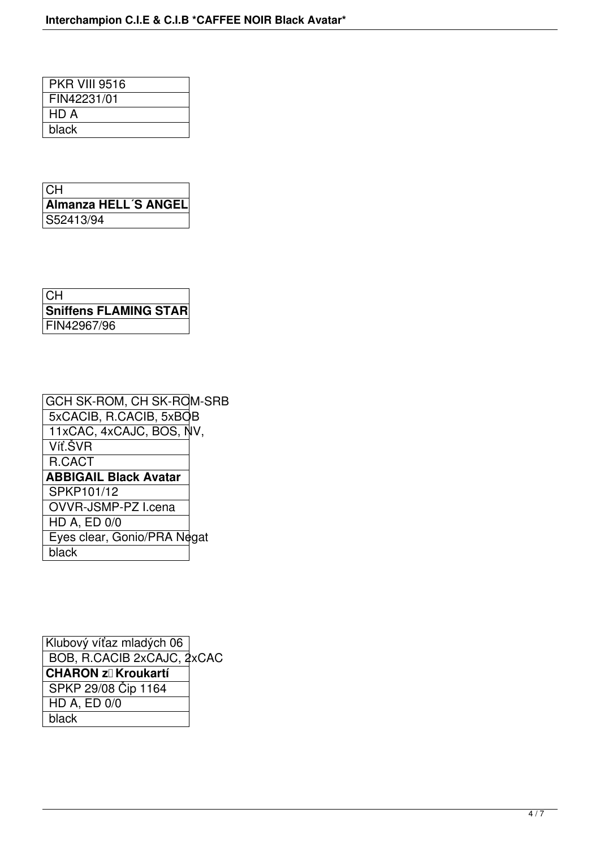| <b>PKR VIII 9516</b> |  |
|----------------------|--|
| FIN42231/01          |  |
| HD A                 |  |
| black                |  |
|                      |  |

| CH                   |
|----------------------|
| Almanza HELL'S ANGEL |
| S52413/94            |

| CH.                          |
|------------------------------|
| <b>Sniffens FLAMING STAR</b> |
| FIN42967/96                  |

| GCH SK-ROM, CH SK-ROM-SRB   |
|-----------------------------|
| 5xCACIB, R.CACIB, 5xBQB     |
| 11xCAC, 4xCAJC, BOS, NV,    |
|                             |
|                             |
|                             |
|                             |
|                             |
|                             |
| Eyes clear, Gonio/PRA Negat |
|                             |
|                             |

Klubový víťaz mladých 06 BOB, R.CACIB 2xCAJC, 2xCAC **CHARON z** Kroukartí SPKP 29/08 Čip 1164 HD A, ED 0/0 black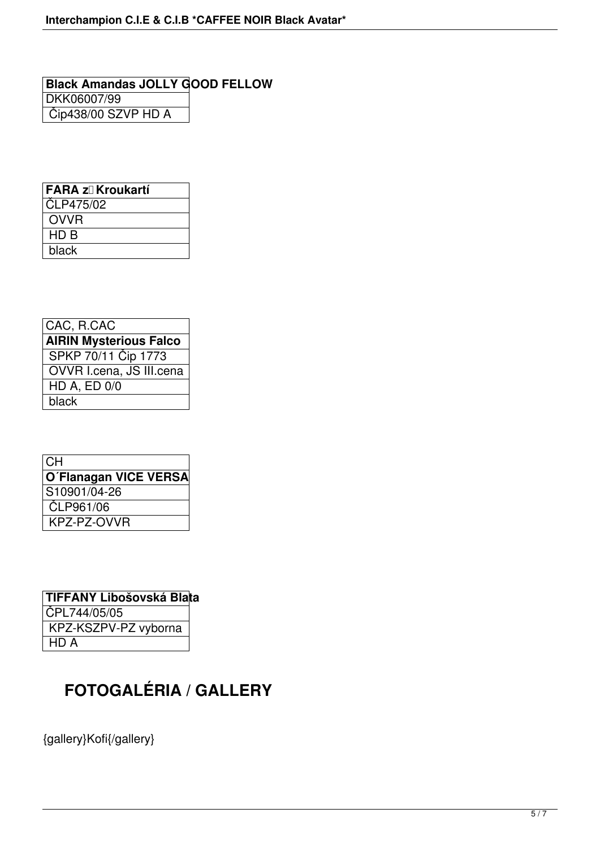**Black Amandas JOLLY GOOD FELLOW** DKK06007/99 Čip438/00 SZVP HD A

| FARA zl Kroukartí |
|-------------------|
| CLP475/02         |
| <b>OVVR</b>       |
| HD B              |
| black             |

| CAC, R.CAC                    |
|-------------------------------|
| <b>AIRIN Mysterious Falco</b> |
| SPKP 70/11 Cip 1773           |
| OVVR I.cena, JS III.cena      |
| <b>HD A, ED 0/0</b>           |
| black                         |

| l CH                  |
|-----------------------|
| O'Flanagan VICE VERSA |
| S10901/04-26          |
| ČLP961/06             |
| KPZ-PZ-OVVR           |

| TIFFANY Libošovská Blata |  |
|--------------------------|--|
| CPL744/05/05             |  |
| KPZ-KSZPV-PZ vyborna     |  |
| HD A                     |  |

# **FOTOGALÉRIA / GALLERY**

{gallery}Kofi{/gallery}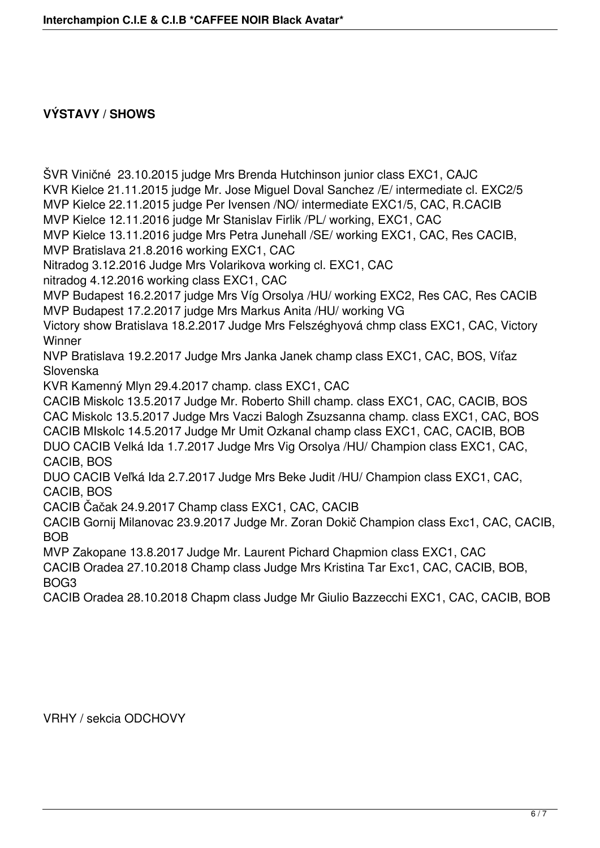#### **VÝSTAVY / SHOWS**

ŠVR Viničné 23.10.2015 judge Mrs Brenda Hutchinson junior class EXC1, CAJC KVR Kielce 21.11.2015 judge Mr. Jose Miguel Doval Sanchez /E/ intermediate cl. EXC2/5 MVP Kielce 22.11.2015 judge Per Ivensen /NO/ intermediate EXC1/5, CAC, R.CACIB MVP Kielce 12.11.2016 judge Mr Stanislav Firlik /PL/ working, EXC1, CAC MVP Kielce 13.11.2016 judge Mrs Petra Junehall /SE/ working EXC1, CAC, Res CACIB, MVP Bratislava 21.8.2016 working EXC1, CAC Nitradog 3.12.2016 Judge Mrs Volarikova working cl. EXC1, CAC nitradog 4.12.2016 working class EXC1, CAC MVP Budapest 16.2.2017 judge Mrs Víg Orsolya /HU/ working EXC2, Res CAC, Res CACIB MVP Budapest 17.2.2017 judge Mrs Markus Anita /HU/ working VG Victory show Bratislava 18.2.2017 Judge Mrs Felszéghyová chmp class EXC1, CAC, Victory **Winner** NVP Bratislava 19.2.2017 Judge Mrs Janka Janek champ class EXC1, CAC, BOS, Víťaz Slovenska KVR Kamenný Mlyn 29.4.2017 champ. class EXC1, CAC CACIB Miskolc 13.5.2017 Judge Mr. Roberto Shill champ. class EXC1, CAC, CACIB, BOS CAC Miskolc 13.5.2017 Judge Mrs Vaczi Balogh Zsuzsanna champ. class EXC1, CAC, BOS CACIB MIskolc 14.5.2017 Judge Mr Umit Ozkanal champ class EXC1, CAC, CACIB, BOB DUO CACIB Velká Ida 1.7.2017 Judge Mrs Vig Orsolya /HU/ Champion class EXC1, CAC, CACIB, BOS DUO CACIB Veľká Ida 2.7.2017 Judge Mrs Beke Judit /HU/ Champion class EXC1, CAC, CACIB, BOS CACIB Čačak 24.9.2017 Champ class EXC1, CAC, CACIB CACIB Gornij Milanovac 23.9.2017 Judge Mr. Zoran Dokič Champion class Exc1, CAC, CACIB, **BOB** MVP Zakopane 13.8.2017 Judge Mr. Laurent Pichard Chapmion class EXC1, CAC CACIB Oradea 27.10.2018 Champ class Judge Mrs Kristina Tar Exc1, CAC, CACIB, BOB, BOG3 CACIB Oradea 28.10.2018 Chapm class Judge Mr Giulio Bazzecchi EXC1, CAC, CACIB, BOB

VRHY / sekcia ODCHOVY